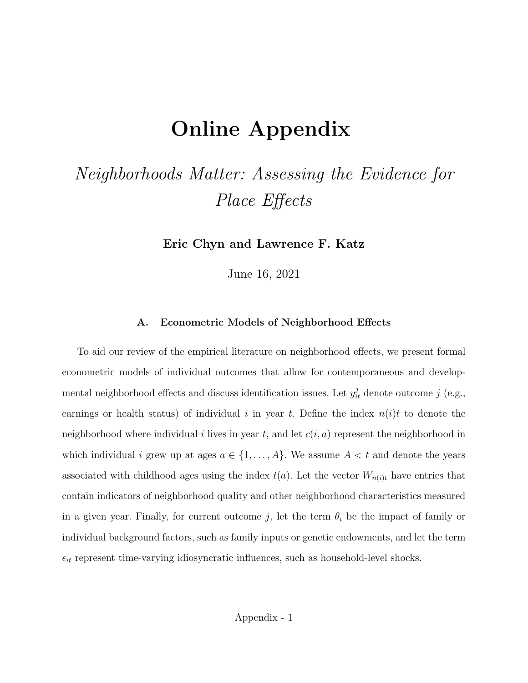## Online Appendix

## Neighborhoods Matter: Assessing the Evidence for Place Effects

Eric Chyn and Lawrence F. Katz

June 16, 2021

## A. Econometric Models of Neighborhood Effects

To aid our review of the empirical literature on neighborhood effects, we present formal econometric models of individual outcomes that allow for contemporaneous and developmental neighborhood effects and discuss identification issues. Let  $y_{it}^j$  denote outcome j (e.g., earnings or health status) of individual i in year t. Define the index  $n(i)t$  to denote the neighborhood where individual i lives in year t, and let  $c(i, a)$  represent the neighborhood in which individual i grew up at ages  $a \in \{1, ..., A\}$ . We assume  $A < t$  and denote the years associated with childhood ages using the index  $t(a)$ . Let the vector  $W_{n(i)t}$  have entries that contain indicators of neighborhood quality and other neighborhood characteristics measured in a given year. Finally, for current outcome j, let the term  $\theta_i$  be the impact of family or individual background factors, such as family inputs or genetic endowments, and let the term  $\epsilon_{it}$  represent time-varying idiosyncratic influences, such as household-level shocks.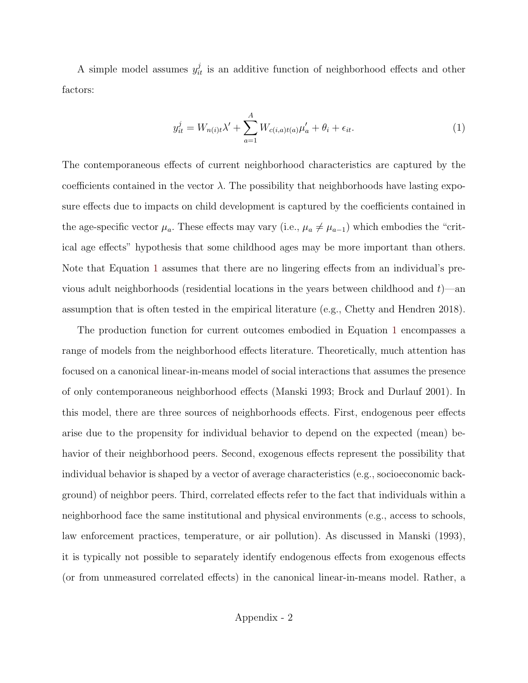A simple model assumes  $y_{it}^j$  is an additive function of neighborhood effects and other factors:

<span id="page-1-0"></span>
$$
y_{it}^j = W_{n(i)t} \lambda' + \sum_{a=1}^A W_{c(i,a)t(a)} \mu'_a + \theta_i + \epsilon_{it}.
$$
\n(1)

The contemporaneous effects of current neighborhood characteristics are captured by the coefficients contained in the vector  $\lambda$ . The possibility that neighborhoods have lasting exposure effects due to impacts on child development is captured by the coefficients contained in the age-specific vector  $\mu_a$ . These effects may vary (i.e.,  $\mu_a \neq \mu_{a-1}$ ) which embodies the "critical age effects" hypothesis that some childhood ages may be more important than others. Note that Equation [1](#page-1-0) assumes that there are no lingering effects from an individual's previous adult neighborhoods (residential locations in the years between childhood and  $t$ )—an assumption that is often tested in the empirical literature (e.g., Chetty and Hendren 2018).

The production function for current outcomes embodied in Equation [1](#page-1-0) encompasses a range of models from the neighborhood effects literature. Theoretically, much attention has focused on a canonical linear-in-means model of social interactions that assumes the presence of only contemporaneous neighborhood effects (Manski 1993; Brock and Durlauf 2001). In this model, there are three sources of neighborhoods effects. First, endogenous peer effects arise due to the propensity for individual behavior to depend on the expected (mean) behavior of their neighborhood peers. Second, exogenous effects represent the possibility that individual behavior is shaped by a vector of average characteristics (e.g., socioeconomic background) of neighbor peers. Third, correlated effects refer to the fact that individuals within a neighborhood face the same institutional and physical environments (e.g., access to schools, law enforcement practices, temperature, or air pollution). As discussed in Manski (1993), it is typically not possible to separately identify endogenous effects from exogenous effects (or from unmeasured correlated effects) in the canonical linear-in-means model. Rather, a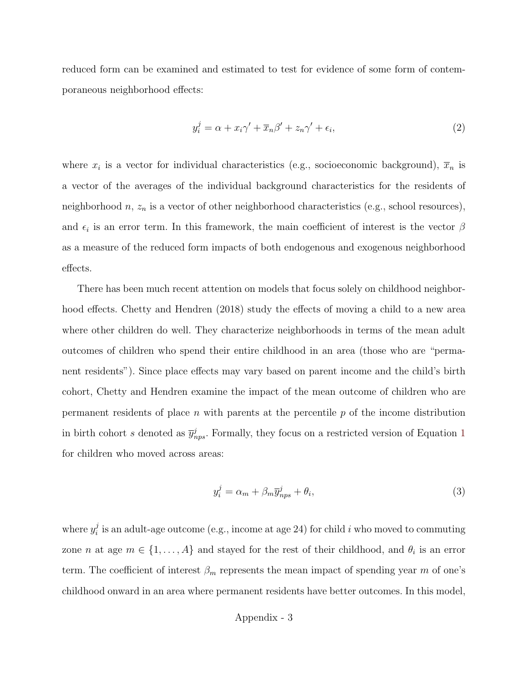reduced form can be examined and estimated to test for evidence of some form of contemporaneous neighborhood effects:

<span id="page-2-0"></span>
$$
y_i^j = \alpha + x_i \gamma' + \overline{x}_n \beta' + z_n \gamma' + \epsilon_i,
$$
\n<sup>(2)</sup>

where  $x_i$  is a vector for individual characteristics (e.g., socioeconomic background),  $\overline{x}_n$  is a vector of the averages of the individual background characteristics for the residents of neighborhood  $n, z_n$  is a vector of other neighborhood characteristics (e.g., school resources), and  $\epsilon_i$  is an error term. In this framework, the main coefficient of interest is the vector  $\beta$ as a measure of the reduced form impacts of both endogenous and exogenous neighborhood effects.

There has been much recent attention on models that focus solely on childhood neighborhood effects. Chetty and Hendren (2018) study the effects of moving a child to a new area where other children do well. They characterize neighborhoods in terms of the mean adult outcomes of children who spend their entire childhood in an area (those who are "permanent residents"). Since place effects may vary based on parent income and the child's birth cohort, Chetty and Hendren examine the impact of the mean outcome of children who are permanent residents of place n with parents at the percentile  $p$  of the income distribution in birth cohort s denoted as  $\bar{y}_{nps}^j$ . Formally, they focus on a restricted version of Equation [1](#page-1-0) for children who moved across areas:

<span id="page-2-1"></span>
$$
y_i^j = \alpha_m + \beta_m \overline{y}_{nps}^j + \theta_i,\tag{3}
$$

where  $y_i^j$  $i_i$  is an adult-age outcome (e.g., income at age 24) for child i who moved to commuting zone *n* at age  $m \in \{1, ..., A\}$  and stayed for the rest of their childhood, and  $\theta_i$  is an error term. The coefficient of interest  $\beta_m$  represents the mean impact of spending year m of one's childhood onward in an area where permanent residents have better outcomes. In this model,